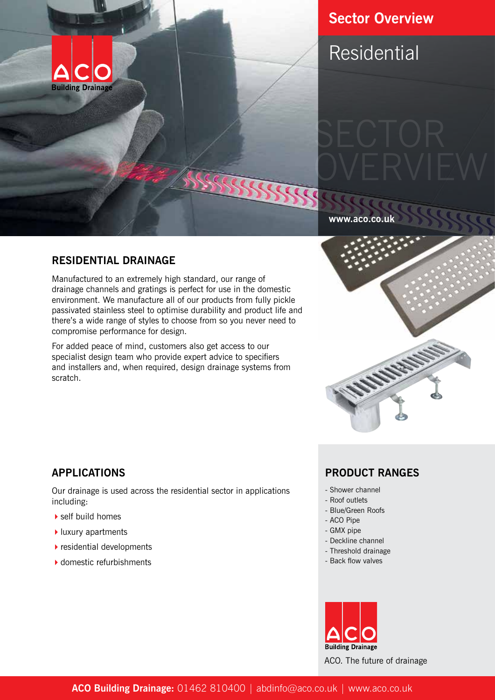

# **Sector Overview**

Residential

#### **www.aco.co.uk**

### **RESIDENTIAL DRAINAGE**

Manufactured to an extremely high standard, our range of drainage channels and gratings is perfect for use in the domestic environment. We manufacture all of our products from fully pickle passivated stainless steel to optimise durability and product life and there's a wide range of styles to choose from so you never need to compromise performance for design.

For added peace of mind, customers also get access to our specialist design team who provide expert advice to specifiers and installers and, when required, design drainage systems from scratch.



## **APPLICATIONS**

Our drainage is used across the residential sector in applications including:

- $\blacktriangleright$  self build homes
- $\blacktriangleright$  luxury apartments
- $\blacktriangleright$  residential developments
- $\blacktriangleright$  domestic refurbishments

## **PRODUCT RANGES**

- Shower channel
- Roof outlets
- Blue/Green Roofs
- ACO Pipe
- GMX pipe
- Deckline channel
- Threshold drainage
- Back flow valves



ACO. The future of drainage